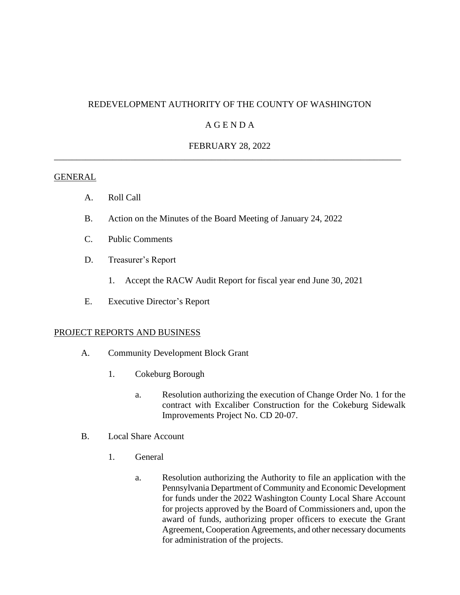# REDEVELOPMENT AUTHORITY OF THE COUNTY OF WASHINGTON

# A G E N D A

# FEBRUARY 28, 2022 \_\_\_\_\_\_\_\_\_\_\_\_\_\_\_\_\_\_\_\_\_\_\_\_\_\_\_\_\_\_\_\_\_\_\_\_\_\_\_\_\_\_\_\_\_\_\_\_\_\_\_\_\_\_\_\_\_\_\_\_\_\_\_\_\_\_\_\_\_\_\_\_\_\_\_\_\_

#### **GENERAL**

- A. Roll Call
- B. Action on the Minutes of the Board Meeting of January 24, 2022
- C. Public Comments
- D. Treasurer's Report
	- 1. Accept the RACW Audit Report for fiscal year end June 30, 2021
- E. Executive Director's Report

#### PROJECT REPORTS AND BUSINESS

- A. Community Development Block Grant
	- 1. Cokeburg Borough
		- a. Resolution authorizing the execution of Change Order No. 1 for the contract with Excaliber Construction for the Cokeburg Sidewalk Improvements Project No. CD 20-07.
- B. Local Share Account
	- 1. General
		- a. Resolution authorizing the Authority to file an application with the Pennsylvania Department of Community and Economic Development for funds under the 2022 Washington County Local Share Account for projects approved by the Board of Commissioners and, upon the award of funds, authorizing proper officers to execute the Grant Agreement, Cooperation Agreements, and other necessary documents for administration of the projects.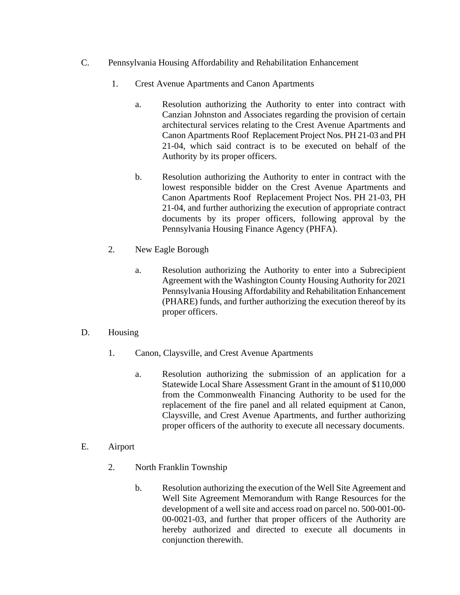- C. Pennsylvania Housing Affordability and Rehabilitation Enhancement
	- 1. Crest Avenue Apartments and Canon Apartments
		- a. Resolution authorizing the Authority to enter into contract with Canzian Johnston and Associates regarding the provision of certain architectural services relating to the Crest Avenue Apartments and Canon Apartments Roof Replacement Project Nos. PH 21-03 and PH 21-04, which said contract is to be executed on behalf of the Authority by its proper officers.
		- b. Resolution authorizing the Authority to enter in contract with the lowest responsible bidder on the Crest Avenue Apartments and Canon Apartments Roof Replacement Project Nos. PH 21-03, PH 21-04, and further authorizing the execution of appropriate contract documents by its proper officers, following approval by the Pennsylvania Housing Finance Agency (PHFA).
	- 2. New Eagle Borough
		- a. Resolution authorizing the Authority to enter into a Subrecipient Agreement with the Washington County Housing Authority for 2021 Pennsylvania Housing Affordability and Rehabilitation Enhancement (PHARE) funds, and further authorizing the execution thereof by its proper officers.
- D. Housing
	- 1. Canon, Claysville, and Crest Avenue Apartments
		- a. Resolution authorizing the submission of an application for a Statewide Local Share Assessment Grant in the amount of \$110,000 from the Commonwealth Financing Authority to be used for the replacement of the fire panel and all related equipment at Canon, Claysville, and Crest Avenue Apartments, and further authorizing proper officers of the authority to execute all necessary documents.
- E. Airport
	- 2. North Franklin Township
		- b. Resolution authorizing the execution of the Well Site Agreement and Well Site Agreement Memorandum with Range Resources for the development of a well site and access road on parcel no. 500-001-00- 00-0021-03, and further that proper officers of the Authority are hereby authorized and directed to execute all documents in conjunction therewith.